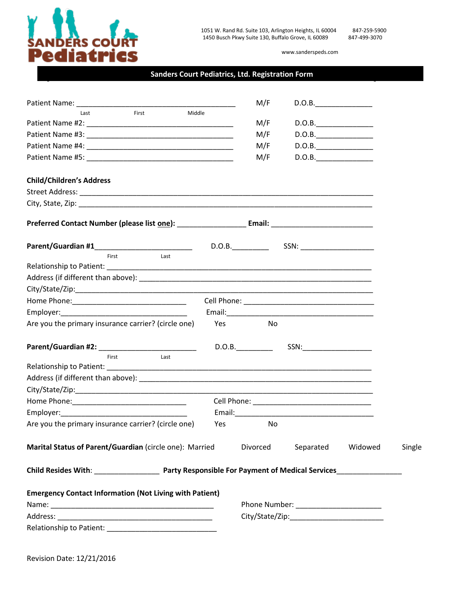

www.sanderspeds.com

#### **Sanders Court Pediatrics, Ltd. Registration Form**

| Patient Name: Name: Name: Name: Name: Name: Name: Name: Name: Name: Name: Name: Name: Name: Name: Name: Name: N |     | M/F      | D.O.B.                                |         |        |
|-----------------------------------------------------------------------------------------------------------------|-----|----------|---------------------------------------|---------|--------|
| First<br>Middle<br>Last                                                                                         |     | M/F      | D.O.B.                                |         |        |
|                                                                                                                 |     | M/F      | D.O.B.                                |         |        |
|                                                                                                                 |     | M/F      | D.O.B.                                |         |        |
|                                                                                                                 |     | M/F      | D.O.B.                                |         |        |
|                                                                                                                 |     |          |                                       |         |        |
| <b>Child/Children's Address</b>                                                                                 |     |          |                                       |         |        |
|                                                                                                                 |     |          |                                       |         |        |
|                                                                                                                 |     |          |                                       |         |        |
|                                                                                                                 |     |          |                                       |         |        |
|                                                                                                                 |     |          | D.O.B. SSN:                           |         |        |
| First<br>Last                                                                                                   |     |          |                                       |         |        |
|                                                                                                                 |     |          |                                       |         |        |
|                                                                                                                 |     |          |                                       |         |        |
|                                                                                                                 |     |          |                                       |         |        |
|                                                                                                                 |     |          |                                       |         |        |
|                                                                                                                 |     |          |                                       |         |        |
| Are you the primary insurance carrier? (circle one)                                                             | Yes | No       |                                       |         |        |
| Parent/Guardian #2: New York Parent / Guardian #2:                                                              |     | D.O.B.   | SSN: <b>SSN: SSN:</b>                 |         |        |
| Last<br>First                                                                                                   |     |          |                                       |         |        |
|                                                                                                                 |     |          |                                       |         |        |
|                                                                                                                 |     |          |                                       |         |        |
|                                                                                                                 |     |          |                                       |         |        |
|                                                                                                                 |     |          |                                       |         |        |
|                                                                                                                 |     |          |                                       |         |        |
| Are you the primary insurance carrier? (circle one)                                                             | Yes | No       |                                       |         |        |
| Marital Status of Parent/Guardian (circle one): Married                                                         |     | Divorced | Separated                             | Widowed | Single |
|                                                                                                                 |     |          |                                       |         |        |
| <b>Emergency Contact Information (Not Living with Patient)</b>                                                  |     |          |                                       |         |        |
|                                                                                                                 |     |          | Phone Number: _______________________ |         |        |
|                                                                                                                 |     |          |                                       |         |        |
|                                                                                                                 |     |          |                                       |         |        |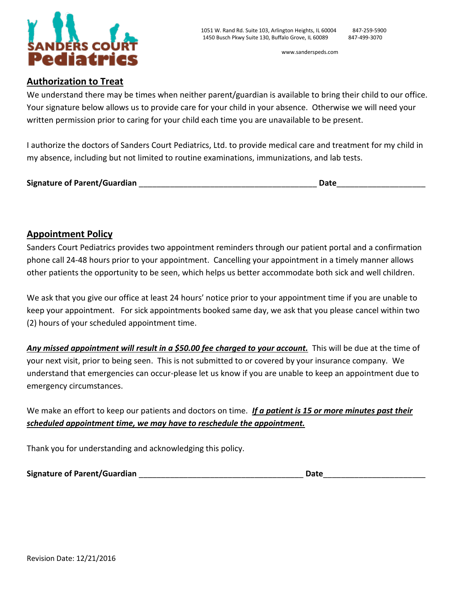

## **Authorization to Treat**

We understand there may be times when neither parent/guardian is available to bring their child to our office. Your signature below allows us to provide care for your child in your absence. Otherwise we will need your written permission prior to caring for your child each time you are unavailable to be present.

I authorize the doctors of Sanders Court Pediatrics, Ltd. to provide medical care and treatment for my child in my absence, including but not limited to routine examinations, immunizations, and lab tests.

| <b>Signature of Parent/Guardian</b> | Date |
|-------------------------------------|------|
|                                     |      |

## **Appointment Policy**

Sanders Court Pediatrics provides two appointment reminders through our patient portal and a confirmation phone call 24-48 hours prior to your appointment. Cancelling your appointment in a timely manner allows other patients the opportunity to be seen, which helps us better accommodate both sick and well children.

We ask that you give our office at least 24 hours' notice prior to your appointment time if you are unable to keep your appointment. For sick appointments booked same day, we ask that you please cancel within two (2) hours of your scheduled appointment time.

*Any missed appointment will result in a \$50.00 fee charged to your account.* This will be due at the time of your next visit, prior to being seen. This is not submitted to or covered by your insurance company. We understand that emergencies can occur-please let us know if you are unable to keep an appointment due to emergency circumstances.

We make an effort to keep our patients and doctors on time. *If a patient is 15 or more minutes past their scheduled appointment time, we may have to reschedule the appointment.*

Thank you for understanding and acknowledging this policy.

| <b>Signature of Parent/Guardian</b> | <b>Date</b> |
|-------------------------------------|-------------|
|                                     |             |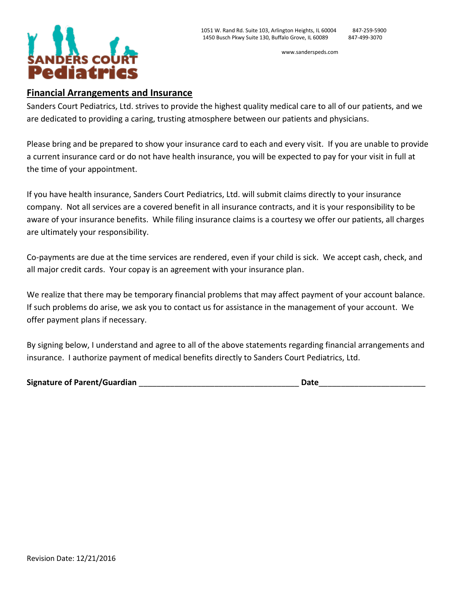

www.sanderspeds.com

#### **Financial Arrangements and Insurance**

Sanders Court Pediatrics, Ltd. strives to provide the highest quality medical care to all of our patients, and we are dedicated to providing a caring, trusting atmosphere between our patients and physicians.

Please bring and be prepared to show your insurance card to each and every visit. If you are unable to provide a current insurance card or do not have health insurance, you will be expected to pay for your visit in full at the time of your appointment.

If you have health insurance, Sanders Court Pediatrics, Ltd. will submit claims directly to your insurance company. Not all services are a covered benefit in all insurance contracts, and it is your responsibility to be aware of your insurance benefits. While filing insurance claims is a courtesy we offer our patients, all charges are ultimately your responsibility.

Co-payments are due at the time services are rendered, even if your child is sick. We accept cash, check, and all major credit cards. Your copay is an agreement with your insurance plan.

We realize that there may be temporary financial problems that may affect payment of your account balance. If such problems do arise, we ask you to contact us for assistance in the management of your account. We offer payment plans if necessary.

By signing below, I understand and agree to all of the above statements regarding financial arrangements and insurance. I authorize payment of medical benefits directly to Sanders Court Pediatrics, Ltd.

| <b>Signature of Parent/Guardian</b> | Date |
|-------------------------------------|------|
|                                     |      |